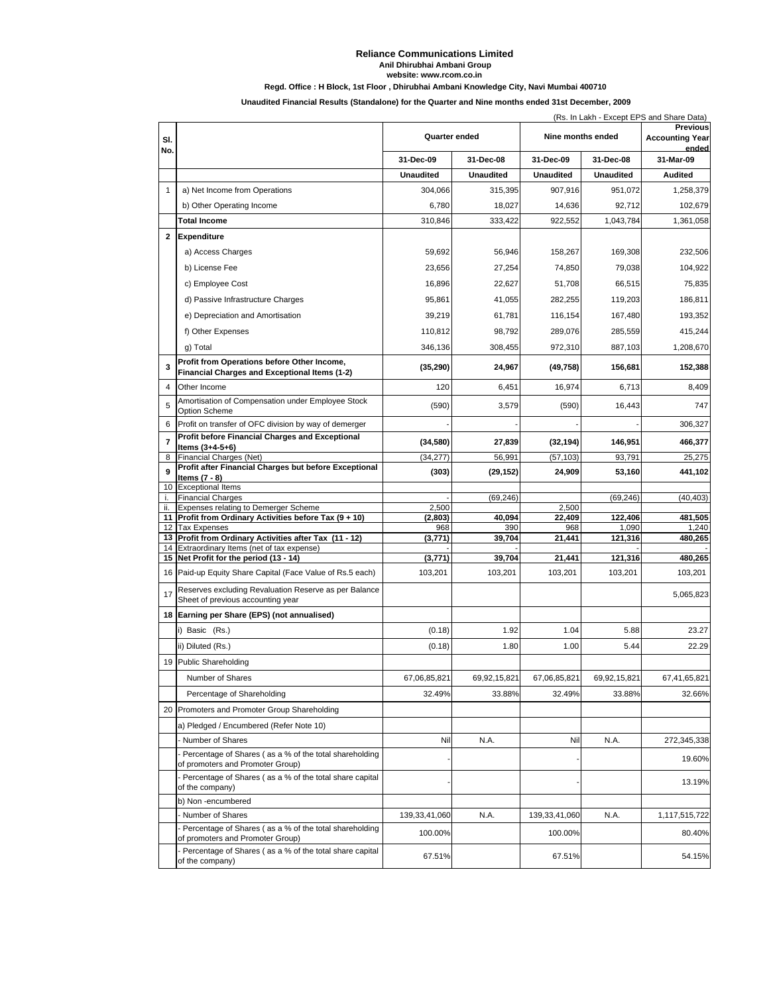## **Reliance Communications Limited**

**Anil Dhirubhai Ambani Group**

**website: www.rcom.co.in**

## **Regd. Office : H Block, 1st Floor , Dhirubhai Ambani Knowledge City, Navi Mumbai 400710**

**Unaudited Financial Results (Standalone) for the Quarter and Nine months ended 31st December, 2009**

|                | (Rs. In Lakh - Except EPS and Share Data)                                                    |                  |                  |                   |                  |                                                    |
|----------------|----------------------------------------------------------------------------------------------|------------------|------------------|-------------------|------------------|----------------------------------------------------|
| SI.<br>No.     |                                                                                              | Quarter ended    |                  | Nine months ended |                  | <b>Previous</b><br><b>Accounting Year</b><br>ended |
|                |                                                                                              | 31-Dec-09        | 31-Dec-08        | 31-Dec-09         | 31-Dec-08        | 31-Mar-09                                          |
|                |                                                                                              | <b>Unaudited</b> | <b>Unaudited</b> | <b>Unaudited</b>  | <b>Unaudited</b> | <b>Audited</b>                                     |
| 1              | a) Net Income from Operations                                                                | 304,066          | 315,395          | 907,916           | 951,072          | 1,258,379                                          |
|                | b) Other Operating Income                                                                    | 6,780            | 18,027           | 14,636            | 92,712           | 102,679                                            |
|                | <b>Total Income</b>                                                                          | 310,846          | 333,422          | 922,552           | 1,043,784        | 1,361,058                                          |
| $\mathbf{2}$   | Expenditure                                                                                  |                  |                  |                   |                  |                                                    |
|                | a) Access Charges                                                                            | 59,692           | 56,946           | 158,267           | 169,308          | 232,506                                            |
|                | b) License Fee                                                                               | 23,656           | 27,254           | 74,850            | 79,038           | 104,922                                            |
|                | c) Employee Cost                                                                             | 16,896           | 22,627           | 51,708            | 66,515           | 75,835                                             |
|                | d) Passive Infrastructure Charges                                                            | 95,861           | 41,055           | 282,255           | 119,203          | 186,811                                            |
|                | e) Depreciation and Amortisation                                                             | 39,219           | 61,781           | 116,154           | 167,480          | 193,352                                            |
|                | f) Other Expenses                                                                            | 110,812          | 98,792           | 289,076           | 285,559          | 415,244                                            |
|                | g) Total                                                                                     | 346,136          | 308,455          | 972,310           | 887,103          | 1,208,670                                          |
| 3              | Profit from Operations before Other Income,<br>Financial Charges and Exceptional Items (1-2) | (35, 290)        | 24,967           | (49, 758)         | 156,681          | 152,388                                            |
| 4              | Other Income                                                                                 | 120              | 6,451            | 16,974            | 6,713            | 8,409                                              |
| 5              | Amortisation of Compensation under Employee Stock<br><b>Option Scheme</b>                    | (590)            | 3,579            | (590)             | 16,443           | 747                                                |
| 6              | Profit on transfer of OFC division by way of demerger                                        |                  |                  |                   |                  | 306.327                                            |
| $\overline{7}$ | Profit before Financial Charges and Exceptional<br>Items (3+4-5+6)                           | (34, 580)        | 27,839           | (32, 194)         | 146,951          | 466,377                                            |
| 8              | Financial Charges (Net)                                                                      | (34, 277)        | 56,991           | (57, 103)         | 93,791           | 25,275                                             |
| 9              | Profit after Financial Charges but before Exceptional<br>Items (7 - 8)                       | (303)            | (29, 152)        | 24,909            | 53,160           | 441,102                                            |
| 10<br>i.       | <b>Exceptional Items</b><br><b>Financial Charges</b>                                         |                  | (69, 246)        |                   | (69, 246)        | (40, 403)                                          |
| ii.            | Expenses relating to Demerger Scheme                                                         | 2,500            |                  | 2,500             |                  |                                                    |
| 11<br>12       | Profit from Ordinary Activities before Tax (9 + 10)<br><b>Tax Expenses</b>                   | (2, 803)<br>968  | 40,094<br>390    | 22,409<br>968     | 122,406<br>1,090 | 481,505<br>1,240                                   |
| 13             | Profit from Ordinary Activities after Tax (11 - 12)                                          | (3,771)          | 39,704           | 21,441            | 121,316          | 480,265                                            |
| 14             | Extraordinary Items (net of tax expense)<br>15 Net Profit for the period (13 - 14)           | (3,771)          | 39,704           | 21,441            | 121,316          | 480,265                                            |
| 16             | Paid-up Equity Share Capital (Face Value of Rs.5 each)                                       | 103,201          | 103,201          | 103,201           | 103,201          | 103,201                                            |
|                | Reserves excluding Revaluation Reserve as per Balance                                        |                  |                  |                   |                  |                                                    |
| 17             | Sheet of previous accounting year                                                            |                  |                  |                   |                  | 5,065,823                                          |
|                | 18 Earning per Share (EPS) (not annualised)                                                  |                  |                  |                   |                  |                                                    |
|                | i) Basic (Rs.)                                                                               | (0.18)           | 1.92             | 1.04              | 5.88             | 23.27                                              |
|                | ii) Diluted (Rs.)                                                                            | (0.18)           | 1.80             | 1.00              | 5.44             | 22.29                                              |
| 19             | <b>Public Shareholding</b>                                                                   |                  |                  |                   |                  |                                                    |
|                | Number of Shares                                                                             | 67,06,85,821     | 69,92,15,821     | 67,06,85,821      | 69,92,15,821     | 67,41,65,821                                       |
|                | Percentage of Shareholding                                                                   | 32.49%           | 33.88%           | 32.49%            | 33.88%           | 32.66%                                             |
| 20             | Promoters and Promoter Group Shareholding                                                    |                  |                  |                   |                  |                                                    |
|                | a) Pledged / Encumbered (Refer Note 10)                                                      |                  |                  |                   |                  |                                                    |
|                | - Number of Shares                                                                           | Nil              | N.A.             | Nil               | N.A.             | 272,345,338                                        |
|                | - Percentage of Shares (as a % of the total shareholding<br>of promoters and Promoter Group) |                  |                  |                   |                  | 19.60%                                             |
|                | Percentage of Shares (as a % of the total share capital<br>of the company)                   |                  |                  |                   |                  | 13.19%                                             |
|                | b) Non-encumbered                                                                            |                  |                  |                   |                  |                                                    |
|                | Number of Shares<br>Percentage of Shares (as a % of the total shareholding                   | 139, 33, 41, 060 | N.A.             | 139, 33, 41, 060  | N.A.             | 1,117,515,722                                      |
|                | of promoters and Promoter Group)                                                             | 100.00%          |                  | 100.00%           |                  | 80.40%                                             |
|                | Percentage of Shares (as a % of the total share capital<br>of the company)                   | 67.51%           |                  | 67.51%            |                  | 54.15%                                             |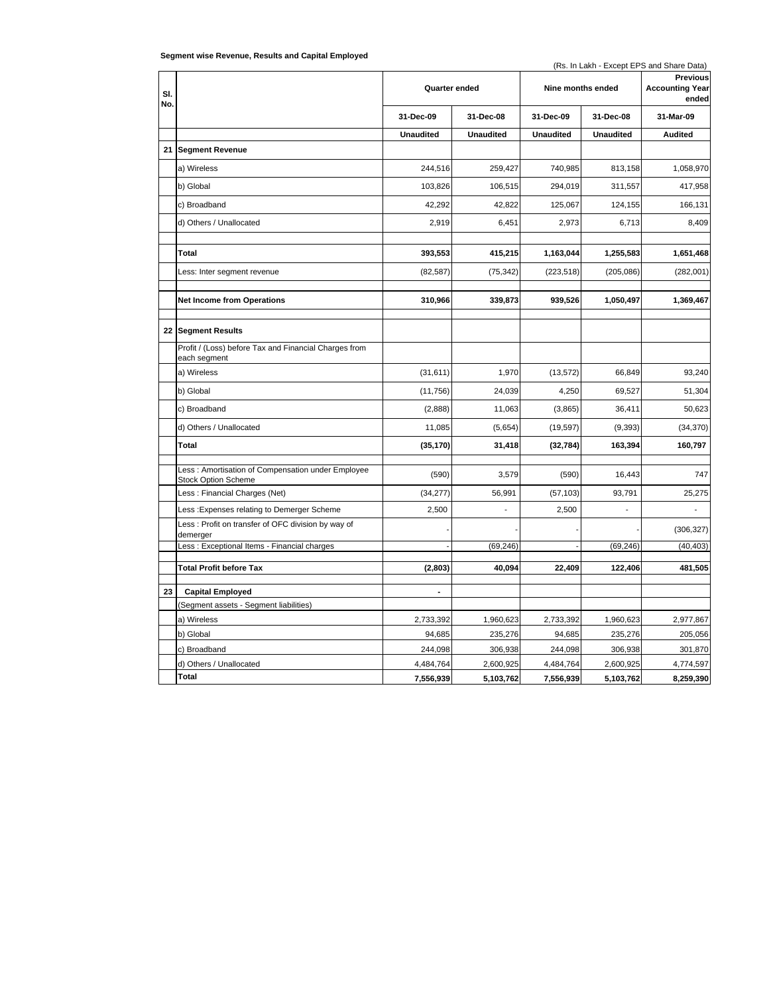| Segment wise Revenue, Results and Capital Employed |  |  |  |
|----------------------------------------------------|--|--|--|
|----------------------------------------------------|--|--|--|

(Rs. In Lakh - Except EPS and Share Data)

| SI.<br>No. |                                                                                 | Quarter ended    |                  | Nine months ended |                  | <b>Previous</b><br><b>Accounting Year</b><br>ended |
|------------|---------------------------------------------------------------------------------|------------------|------------------|-------------------|------------------|----------------------------------------------------|
|            |                                                                                 | 31-Dec-09        | 31-Dec-08        | 31-Dec-09         | 31-Dec-08        | 31-Mar-09                                          |
|            |                                                                                 | <b>Unaudited</b> | <b>Unaudited</b> | <b>Unaudited</b>  | <b>Unaudited</b> | <b>Audited</b>                                     |
| 21         | <b>Segment Revenue</b>                                                          |                  |                  |                   |                  |                                                    |
|            | a) Wireless                                                                     | 244,516          | 259,427          | 740,985           | 813,158          | 1,058,970                                          |
|            | b) Global                                                                       | 103,826          | 106,515          | 294,019           | 311,557          | 417,958                                            |
|            | c) Broadband                                                                    | 42,292           | 42,822           | 125,067           | 124,155          | 166,131                                            |
|            | d) Others / Unallocated                                                         | 2,919            | 6,451            | 2,973             | 6,713            | 8,409                                              |
|            |                                                                                 |                  |                  |                   |                  |                                                    |
|            | Total                                                                           | 393,553          | 415,215          | 1,163,044         | 1,255,583        | 1,651,468                                          |
|            | Less: Inter segment revenue                                                     | (82, 587)        | (75, 342)        | (223, 518)        | (205, 086)       | (282,001)                                          |
|            | <b>Net Income from Operations</b>                                               | 310,966          | 339,873          | 939,526           | 1,050,497        | 1,369,467                                          |
|            |                                                                                 |                  |                  |                   |                  |                                                    |
|            | 22 Segment Results                                                              |                  |                  |                   |                  |                                                    |
|            | Profit / (Loss) before Tax and Financial Charges from<br>each segment           |                  |                  |                   |                  |                                                    |
|            | a) Wireless                                                                     | (31,611)         | 1,970            | (13, 572)         | 66,849           | 93,240                                             |
|            | b) Global                                                                       | (11,756)         | 24,039           | 4,250             | 69,527           | 51,304                                             |
|            | c) Broadband                                                                    | (2,888)          | 11,063           | (3,865)           | 36,411           | 50,623                                             |
|            | d) Others / Unallocated                                                         | 11,085           | (5,654)          | (19, 597)         | (9, 393)         | (34, 370)                                          |
|            | Total                                                                           | (35, 170)        | 31,418           | (32, 784)         | 163,394          | 160,797                                            |
|            | Less: Amortisation of Compensation under Employee<br><b>Stock Option Scheme</b> | (590)            | 3,579            | (590)             | 16,443           | 747                                                |
|            | Less: Financial Charges (Net)                                                   | (34, 277)        | 56.991           | (57, 103)         | 93.791           | 25,275                                             |
|            | Less : Expenses relating to Demerger Scheme                                     | 2,500            |                  | 2,500             |                  |                                                    |
|            | Less: Profit on transfer of OFC division by way of<br>demerger                  |                  |                  |                   |                  | (306, 327)                                         |
|            | Less: Exceptional Items - Financial charges                                     |                  | (69, 246)        |                   | (69, 246)        | (40, 403)                                          |
|            | <b>Total Profit before Tax</b>                                                  | (2,803)          | 40,094           | 22,409            | 122,406          | 481,505                                            |
|            |                                                                                 |                  |                  |                   |                  |                                                    |
| 23         | <b>Capital Employed</b>                                                         | $\blacksquare$   |                  |                   |                  |                                                    |
|            | Segment assets - Segment liabilities)                                           |                  |                  |                   |                  |                                                    |
|            | a) Wireless                                                                     | 2,733,392        | 1,960,623        | 2,733,392         | 1,960,623        | 2,977,867                                          |
|            | b) Global                                                                       | 94,685           | 235,276          | 94,685            | 235,276          | 205,056                                            |
|            | c) Broadband                                                                    | 244,098          | 306,938          | 244,098           | 306,938          | 301,870                                            |
|            | d) Others / Unallocated                                                         | 4,484,764        | 2,600,925        | 4,484,764         | 2,600,925        | 4,774,597                                          |
|            | Total                                                                           | 7,556,939        | 5,103,762        | 7,556,939         | 5,103,762        | 8,259,390                                          |